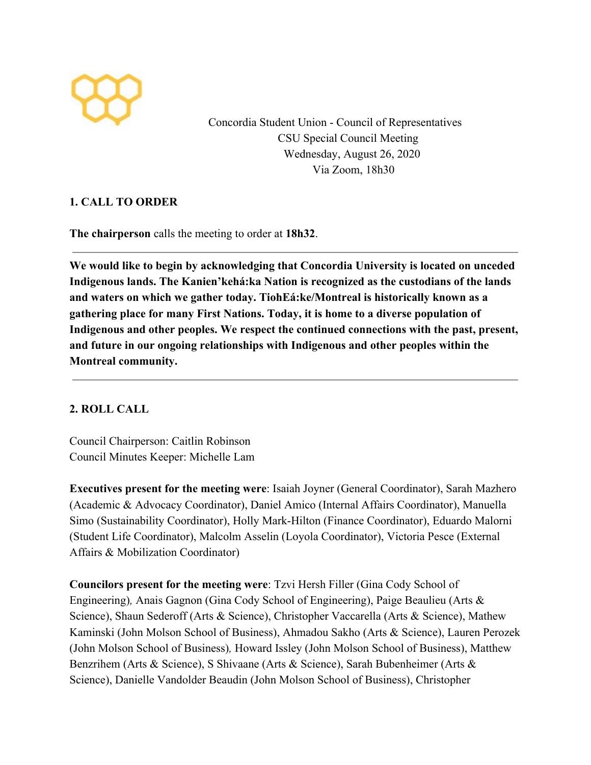

Concordia Student Union - Council of Representatives CSU Special Council Meeting Wednesday, August 26, 2020 Via Zoom, 18h30

## **1. CALL TO ORDER**

**The chairperson** calls the meeting to order at **18h32**.

**We would like to begin by acknowledging that Concordia University is located on unceded Indigenous lands. The Kanien'kehá:ka Nation is recognized as the custodians of the lands and waters on which we gather today. TiohEá:ke/Montreal is historically known as a gathering place for many First Nations. Today, it is home to a diverse population of Indigenous and other peoples. We respect the continued connections with the past, present, and future in our ongoing relationships with Indigenous and other peoples within the Montreal community.**

## **2. ROLL CALL**

Council Chairperson: Caitlin Robinson Council Minutes Keeper: Michelle Lam

**Executives present for the meeting were**: Isaiah Joyner (General Coordinator), Sarah Mazhero (Academic & Advocacy Coordinator), Daniel Amico (Internal Affairs Coordinator), Manuella Simo (Sustainability Coordinator), Holly Mark-Hilton (Finance Coordinator), Eduardo Malorni (Student Life Coordinator), Malcolm Asselin (Loyola Coordinator), Victoria Pesce (External Affairs & Mobilization Coordinator)

**Councilors present for the meeting were**: Tzvi Hersh Filler (Gina Cody School of Engineering)*,* Anais Gagnon (Gina Cody School of Engineering), Paige Beaulieu (Arts & Science), Shaun Sederoff (Arts & Science), Christopher Vaccarella (Arts & Science), Mathew Kaminski (John Molson School of Business), Ahmadou Sakho (Arts & Science), Lauren Perozek (John Molson School of Business)*,* Howard Issley (John Molson School of Business), Matthew Benzrihem (Arts & Science), S Shivaane (Arts & Science), Sarah Bubenheimer (Arts & Science), Danielle Vandolder Beaudin (John Molson School of Business), Christopher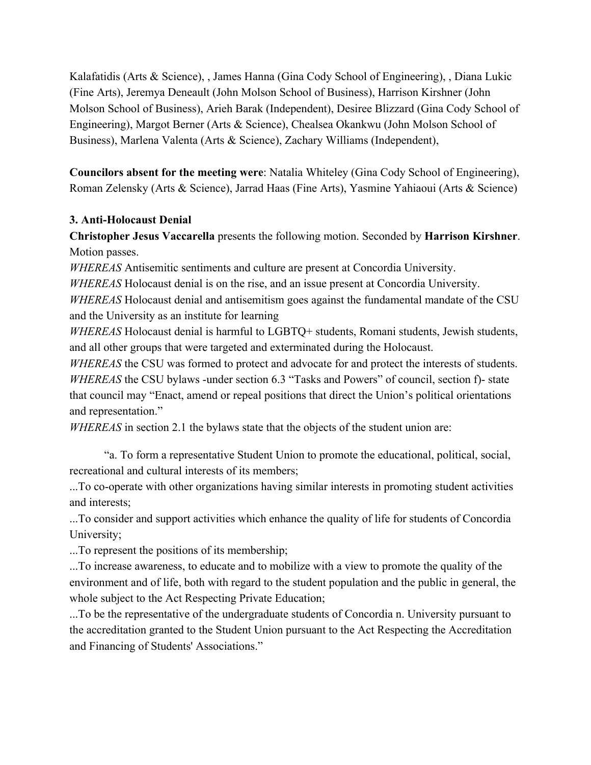Kalafatidis (Arts & Science), , James Hanna (Gina Cody School of Engineering), , Diana Lukic (Fine Arts), Jeremya Deneault (John Molson School of Business), Harrison Kirshner (John Molson School of Business), Arieh Barak (Independent), Desiree Blizzard (Gina Cody School of Engineering), Margot Berner (Arts & Science), Chealsea Okankwu (John Molson School of Business), Marlena Valenta (Arts & Science), Zachary Williams (Independent),

**Councilors absent for the meeting were**: Natalia Whiteley (Gina Cody School of Engineering), Roman Zelensky (Arts & Science), Jarrad Haas (Fine Arts), Yasmine Yahiaoui (Arts & Science)

### **3. Anti-Holocaust Denial**

**Christopher Jesus Vaccarella** presents the following motion. Seconded by **Harrison Kirshner**. Motion passes.

*WHEREAS* Antisemitic sentiments and culture are present at Concordia University.

*WHEREAS* Holocaust denial is on the rise, and an issue present at Concordia University.

*WHEREAS* Holocaust denial and antisemitism goes against the fundamental mandate of the CSU and the University as an institute for learning

*WHEREAS* Holocaust denial is harmful to LGBTQ+ students, Romani students, Jewish students, and all other groups that were targeted and exterminated during the Holocaust.

*WHEREAS* the CSU was formed to protect and advocate for and protect the interests of students. *WHEREAS* the CSU bylaws -under section 6.3 "Tasks and Powers" of council, section f)- state that council may "Enact, amend or repeal positions that direct the Union's political orientations and representation."

*WHEREAS* in section 2.1 the bylaws state that the objects of the student union are:

"a. To form a representative Student Union to promote the educational, political, social, recreational and cultural interests of its members;

...To co-operate with other organizations having similar interests in promoting student activities and interests;

...To consider and support activities which enhance the quality of life for students of Concordia University;

...To represent the positions of its membership;

...To increase awareness, to educate and to mobilize with a view to promote the quality of the environment and of life, both with regard to the student population and the public in general, the whole subject to the Act Respecting Private Education;

...To be the representative of the undergraduate students of Concordia n. University pursuant to the accreditation granted to the Student Union pursuant to the Act Respecting the Accreditation and Financing of Students' Associations."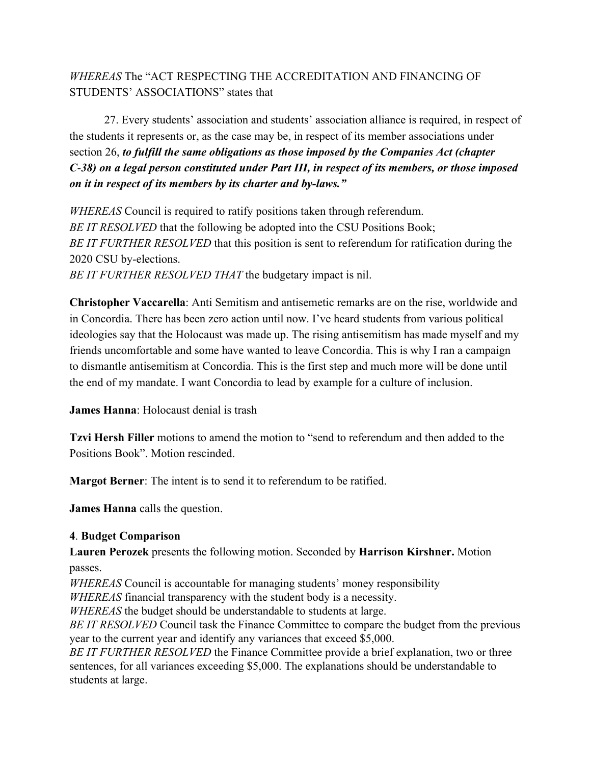# *WHEREAS* The "ACT RESPECTING THE ACCREDITATION AND FINANCING OF STUDENTS' ASSOCIATIONS" states that

27. Every students' association and students' association alliance is required, in respect of the students it represents or, as the case may be, in respect of its member associations under section 26, *to fulfill the same obligations as those imposed by the Companies Act (chapter C*-*38) on a legal person constituted under Part III, in respect of its members, or those imposed on it in respect of its members by its charter and by-laws."*

*WHEREAS* Council is required to ratify positions taken through referendum. *BE IT RESOLVED* that the following be adopted into the CSU Positions Book; *BE IT FURTHER RESOLVED* that this position is sent to referendum for ratification during the 2020 CSU by-elections. *BE IT FURTHER RESOLVED THAT* the budgetary impact is nil.

**Christopher Vaccarella**: Anti Semitism and antisemetic remarks are on the rise, worldwide and in Concordia. There has been zero action until now. I've heard students from various political ideologies say that the Holocaust was made up. The rising antisemitism has made myself and my friends uncomfortable and some have wanted to leave Concordia. This is why I ran a campaign to dismantle antisemitism at Concordia. This is the first step and much more will be done until the end of my mandate. I want Concordia to lead by example for a culture of inclusion.

**James Hanna**: Holocaust denial is trash

**Tzvi Hersh Filler** motions to amend the motion to "send to referendum and then added to the Positions Book". Motion rescinded.

**Margot Berner**: The intent is to send it to referendum to be ratified.

**James Hanna** calls the question.

#### **4**. **Budget Comparison**

**Lauren Perozek** presents the following motion. Seconded by **Harrison Kirshner.** Motion passes.

*WHEREAS* Council is accountable for managing students' money responsibility

*WHEREAS* financial transparency with the student body is a necessity.

*WHEREAS* the budget should be understandable to students at large.

*BE IT RESOLVED* Council task the Finance Committee to compare the budget from the previous year to the current year and identify any variances that exceed \$5,000.

*BE IT FURTHER RESOLVED* the Finance Committee provide a brief explanation, two or three sentences, for all variances exceeding \$5,000. The explanations should be understandable to students at large.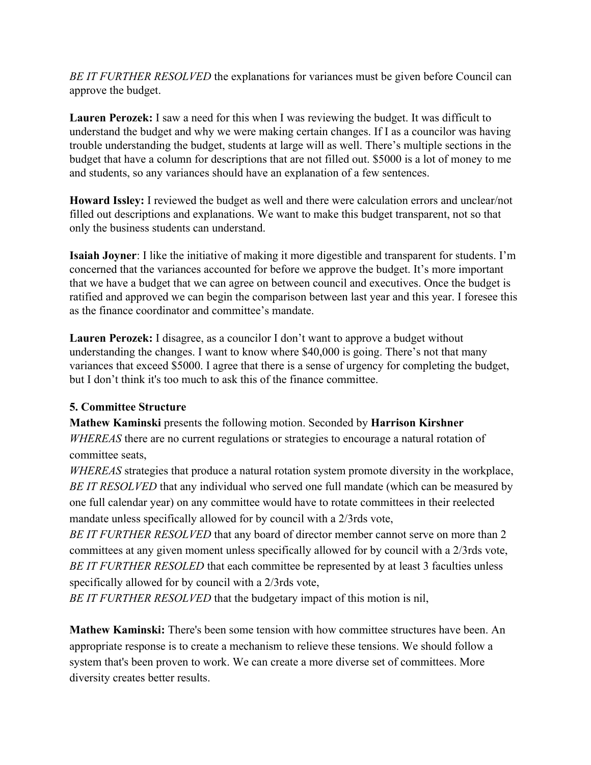*BE IT FURTHER RESOLVED* the explanations for variances must be given before Council can approve the budget.

**Lauren Perozek:** I saw a need for this when I was reviewing the budget. It was difficult to understand the budget and why we were making certain changes. If I as a councilor was having trouble understanding the budget, students at large will as well. There's multiple sections in the budget that have a column for descriptions that are not filled out. \$5000 is a lot of money to me and students, so any variances should have an explanation of a few sentences.

**Howard Issley:** I reviewed the budget as well and there were calculation errors and unclear/not filled out descriptions and explanations. We want to make this budget transparent, not so that only the business students can understand.

**Isaiah Joyner**: I like the initiative of making it more digestible and transparent for students. I'm concerned that the variances accounted for before we approve the budget. It's more important that we have a budget that we can agree on between council and executives. Once the budget is ratified and approved we can begin the comparison between last year and this year. I foresee this as the finance coordinator and committee's mandate.

**Lauren Perozek:** I disagree, as a councilor I don't want to approve a budget without understanding the changes. I want to know where \$40,000 is going. There's not that many variances that exceed \$5000. I agree that there is a sense of urgency for completing the budget, but I don't think it's too much to ask this of the finance committee.

## **5. Committee Structure**

**Mathew Kaminski** presents the following motion. Seconded by **Harrison Kirshner** *WHEREAS* there are no current regulations or strategies to encourage a natural rotation of committee seats,

*WHEREAS* strategies that produce a natural rotation system promote diversity in the workplace, *BE IT RESOLVED* that any individual who served one full mandate (which can be measured by one full calendar year) on any committee would have to rotate committees in their reelected mandate unless specifically allowed for by council with a 2/3rds vote,

*BE IT FURTHER RESOLVED* that any board of director member cannot serve on more than 2 committees at any given moment unless specifically allowed for by council with a 2/3rds vote, *BE IT FURTHER RESOLED* that each committee be represented by at least 3 faculties unless specifically allowed for by council with a 2/3rds vote,

*BE IT FURTHER RESOLVED* that the budgetary impact of this motion is nil,

**Mathew Kaminski:** There's been some tension with how committee structures have been. An appropriate response is to create a mechanism to relieve these tensions. We should follow a system that's been proven to work. We can create a more diverse set of committees. More diversity creates better results.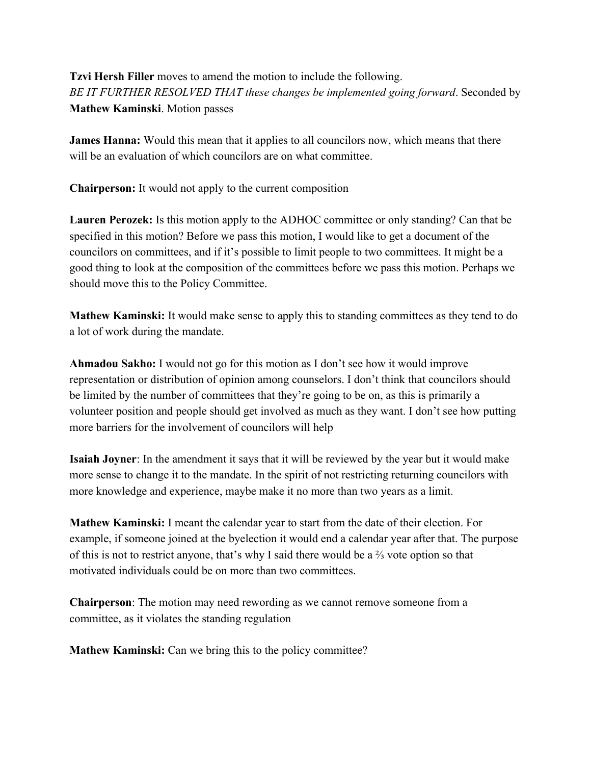# **Tzvi Hersh Filler** moves to amend the motion to include the following. *BE IT FURTHER RESOLVED THAT these changes be implemented going forward*. Seconded by **Mathew Kaminski**. Motion passes

**James Hanna:** Would this mean that it applies to all councilors now, which means that there will be an evaluation of which councilors are on what committee.

**Chairperson:** It would not apply to the current composition

**Lauren Perozek:** Is this motion apply to the ADHOC committee or only standing? Can that be specified in this motion? Before we pass this motion, I would like to get a document of the councilors on committees, and if it's possible to limit people to two committees. It might be a good thing to look at the composition of the committees before we pass this motion. Perhaps we should move this to the Policy Committee.

**Mathew Kaminski:** It would make sense to apply this to standing committees as they tend to do a lot of work during the mandate.

**Ahmadou Sakho:** I would not go for this motion as I don't see how it would improve representation or distribution of opinion among counselors. I don't think that councilors should be limited by the number of committees that they're going to be on, as this is primarily a volunteer position and people should get involved as much as they want. I don't see how putting more barriers for the involvement of councilors will help

**Isaiah Joyner**: In the amendment it says that it will be reviewed by the year but it would make more sense to change it to the mandate. In the spirit of not restricting returning councilors with more knowledge and experience, maybe make it no more than two years as a limit.

**Mathew Kaminski:** I meant the calendar year to start from the date of their election. For example, if someone joined at the byelection it would end a calendar year after that. The purpose of this is not to restrict anyone, that's why I said there would be a ⅔ vote option so that motivated individuals could be on more than two committees.

**Chairperson**: The motion may need rewording as we cannot remove someone from a committee, as it violates the standing regulation

**Mathew Kaminski:** Can we bring this to the policy committee?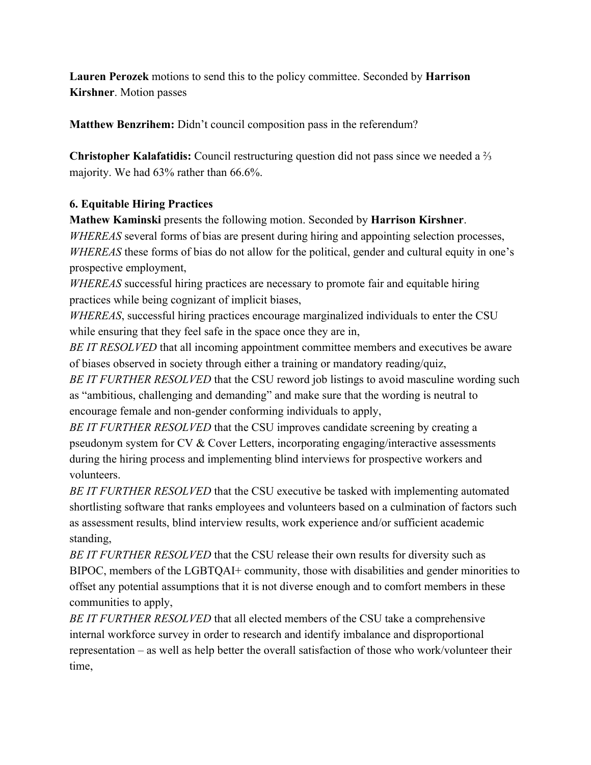**Lauren Perozek** motions to send this to the policy committee. Seconded by **Harrison Kirshner**. Motion passes

**Matthew Benzrihem:** Didn't council composition pass in the referendum?

**Christopher Kalafatidis:** Council restructuring question did not pass since we needed a ⅔ majority. We had 63% rather than 66.6%.

## **6. Equitable Hiring Practices**

**Mathew Kaminski** presents the following motion. Seconded by **Harrison Kirshner**.

*WHEREAS* several forms of bias are present during hiring and appointing selection processes, *WHEREAS* these forms of bias do not allow for the political, gender and cultural equity in one's prospective employment,

*WHEREAS* successful hiring practices are necessary to promote fair and equitable hiring practices while being cognizant of implicit biases,

*WHEREAS*, successful hiring practices encourage marginalized individuals to enter the CSU while ensuring that they feel safe in the space once they are in,

*BE IT RESOLVED* that all incoming appointment committee members and executives be aware of biases observed in society through either a training or mandatory reading/quiz,

*BE IT FURTHER RESOLVED* that the CSU reword job listings to avoid masculine wording such as "ambitious, challenging and demanding" and make sure that the wording is neutral to encourage female and non-gender conforming individuals to apply,

*BE IT FURTHER RESOLVED* that the CSU improves candidate screening by creating a pseudonym system for CV & Cover Letters, incorporating engaging/interactive assessments during the hiring process and implementing blind interviews for prospective workers and volunteers.

*BE IT FURTHER RESOLVED* that the CSU executive be tasked with implementing automated shortlisting software that ranks employees and volunteers based on a culmination of factors such as assessment results, blind interview results, work experience and/or sufficient academic standing,

*BE IT FURTHER RESOLVED* that the CSU release their own results for diversity such as BIPOC, members of the LGBTQAI+ community, those with disabilities and gender minorities to offset any potential assumptions that it is not diverse enough and to comfort members in these communities to apply,

*BE IT FURTHER RESOLVED* that all elected members of the CSU take a comprehensive internal workforce survey in order to research and identify imbalance and disproportional representation – as well as help better the overall satisfaction of those who work/volunteer their time,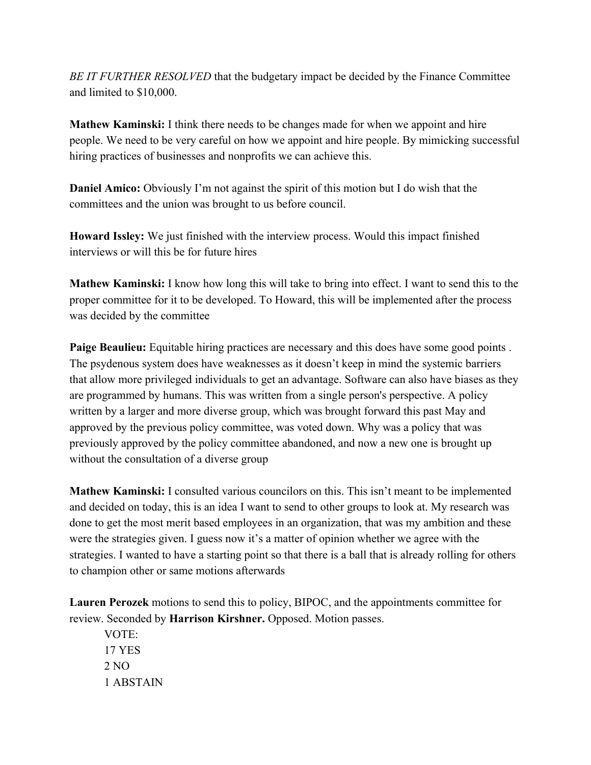*BE IT FURTHER RESOLVED* that the budgetary impact be decided by the Finance Committee and limited to \$10,000.

**Mathew Kaminski:** I think there needs to be changes made for when we appoint and hire people. We need to be very careful on how we appoint and hire people. By mimicking successful hiring practices of businesses and nonprofits we can achieve this.

**Daniel Amico:** Obviously I'm not against the spirit of this motion but I do wish that the committees and the union was brought to us before council.

**Howard Issley:** We just finished with the interview process. Would this impact finished interviews or will this be for future hires

**Mathew Kaminski:** I know how long this will take to bring into effect. I want to send this to the proper committee for it to be developed. To Howard, this will be implemented after the process was decided by the committee

**Paige Beaulieu:** Equitable hiring practices are necessary and this does have some good points. The psydenous system does have weaknesses as it doesn't keep in mind the systemic barriers that allow more privileged individuals to get an advantage. Software can also have biases as they are programmed by humans. This was written from a single person's perspective. A policy written by a larger and more diverse group, which was brought forward this past May and approved by the previous policy committee, was voted down. Why was a policy that was previously approved by the policy committee abandoned, and now a new one is brought up without the consultation of a diverse group

**Mathew Kaminski:** I consulted various councilors on this. This isn't meant to be implemented and decided on today, this is an idea I want to send to other groups to look at. My research was done to get the most merit based employees in an organization, that was my ambition and these were the strategies given. I guess now it's a matter of opinion whether we agree with the strategies. I wanted to have a starting point so that there is a ball that is already rolling for others to champion other or same motions afterwards

**Lauren Perozek** motions to send this to policy, BIPOC, and the appointments committee for review. Seconded by **Harrison Kirshner.** Opposed. Motion passes.

VOTE: 17 YES 2 NO 1 ABSTAIN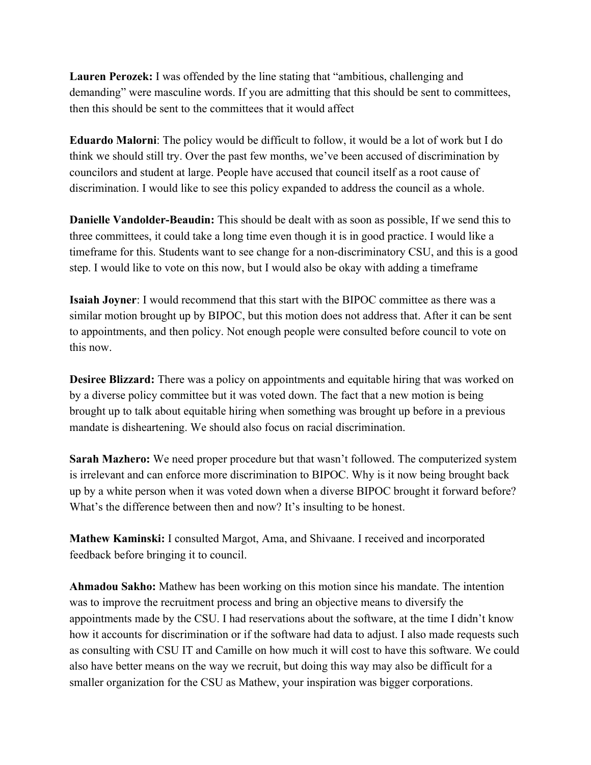**Lauren Perozek:** I was offended by the line stating that "ambitious, challenging and demanding" were masculine words. If you are admitting that this should be sent to committees, then this should be sent to the committees that it would affect

**Eduardo Malorni**: The policy would be difficult to follow, it would be a lot of work but I do think we should still try. Over the past few months, we've been accused of discrimination by councilors and student at large. People have accused that council itself as a root cause of discrimination. I would like to see this policy expanded to address the council as a whole.

**Danielle Vandolder-Beaudin:** This should be dealt with as soon as possible, If we send this to three committees, it could take a long time even though it is in good practice. I would like a timeframe for this. Students want to see change for a non-discriminatory CSU, and this is a good step. I would like to vote on this now, but I would also be okay with adding a timeframe

**Isaiah Joyner**: I would recommend that this start with the BIPOC committee as there was a similar motion brought up by BIPOC, but this motion does not address that. After it can be sent to appointments, and then policy. Not enough people were consulted before council to vote on this now.

**Desiree Blizzard:** There was a policy on appointments and equitable hiring that was worked on by a diverse policy committee but it was voted down. The fact that a new motion is being brought up to talk about equitable hiring when something was brought up before in a previous mandate is disheartening. We should also focus on racial discrimination.

**Sarah Mazhero:** We need proper procedure but that wasn't followed. The computerized system is irrelevant and can enforce more discrimination to BIPOC. Why is it now being brought back up by a white person when it was voted down when a diverse BIPOC brought it forward before? What's the difference between then and now? It's insulting to be honest.

**Mathew Kaminski:** I consulted Margot, Ama, and Shivaane. I received and incorporated feedback before bringing it to council.

**Ahmadou Sakho:** Mathew has been working on this motion since his mandate. The intention was to improve the recruitment process and bring an objective means to diversify the appointments made by the CSU. I had reservations about the software, at the time I didn't know how it accounts for discrimination or if the software had data to adjust. I also made requests such as consulting with CSU IT and Camille on how much it will cost to have this software. We could also have better means on the way we recruit, but doing this way may also be difficult for a smaller organization for the CSU as Mathew, your inspiration was bigger corporations.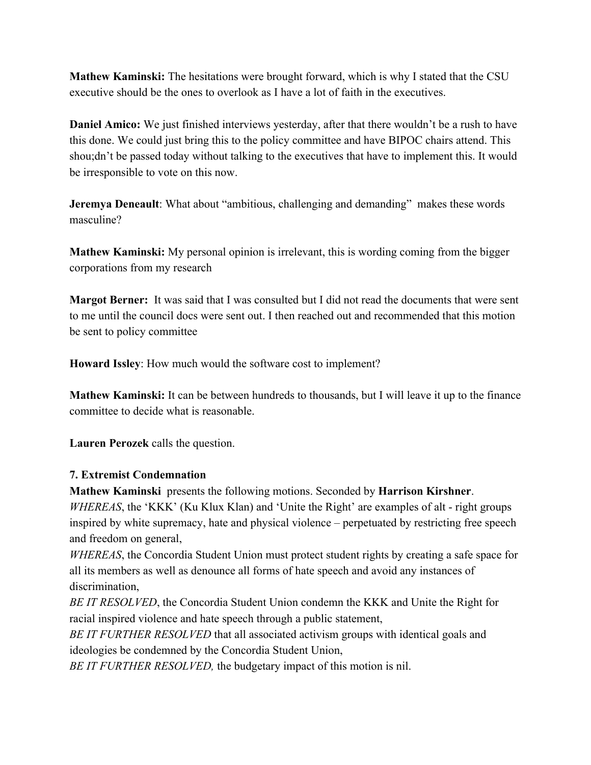**Mathew Kaminski:** The hesitations were brought forward, which is why I stated that the CSU executive should be the ones to overlook as I have a lot of faith in the executives.

**Daniel Amico:** We just finished interviews yesterday, after that there wouldn't be a rush to have this done. We could just bring this to the policy committee and have BIPOC chairs attend. This shou;dn't be passed today without talking to the executives that have to implement this. It would be irresponsible to vote on this now.

**Jeremya Deneault**: What about "ambitious, challenging and demanding" makes these words masculine?

**Mathew Kaminski:** My personal opinion is irrelevant, this is wording coming from the bigger corporations from my research

**Margot Berner:** It was said that I was consulted but I did not read the documents that were sent to me until the council docs were sent out. I then reached out and recommended that this motion be sent to policy committee

**Howard Issley**: How much would the software cost to implement?

**Mathew Kaminski:** It can be between hundreds to thousands, but I will leave it up to the finance committee to decide what is reasonable.

**Lauren Perozek** calls the question.

#### **7. Extremist Condemnation**

**Mathew Kaminski** presents the following motions. Seconded by **Harrison Kirshner**.

*WHEREAS*, the 'KKK' (Ku Klux Klan) and 'Unite the Right' are examples of alt - right groups inspired by white supremacy, hate and physical violence – perpetuated by restricting free speech and freedom on general,

*WHEREAS*, the Concordia Student Union must protect student rights by creating a safe space for all its members as well as denounce all forms of hate speech and avoid any instances of discrimination,

*BE IT RESOLVED*, the Concordia Student Union condemn the KKK and Unite the Right for racial inspired violence and hate speech through a public statement,

*BE IT FURTHER RESOLVED* that all associated activism groups with identical goals and ideologies be condemned by the Concordia Student Union,

*BE IT FURTHER RESOLVED,* the budgetary impact of this motion is nil.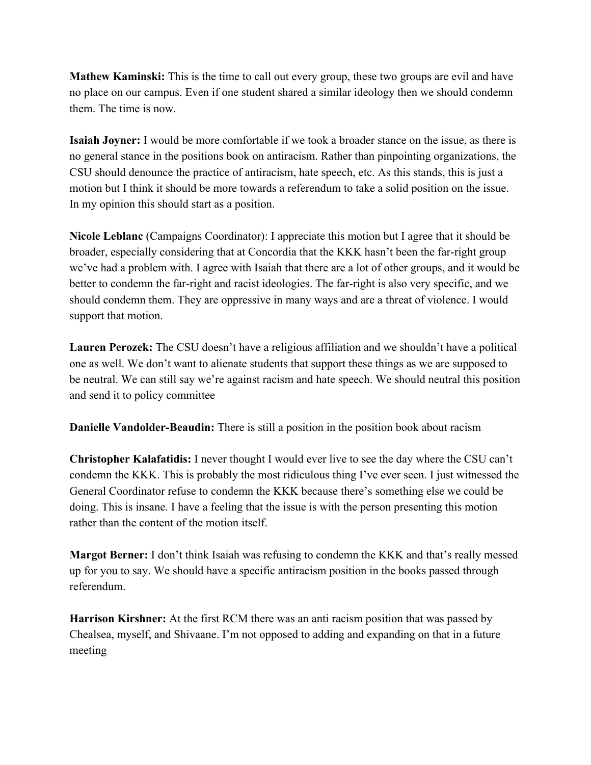**Mathew Kaminski:** This is the time to call out every group, these two groups are evil and have no place on our campus. Even if one student shared a similar ideology then we should condemn them. The time is now.

**Isaiah Joyner:** I would be more comfortable if we took a broader stance on the issue, as there is no general stance in the positions book on antiracism. Rather than pinpointing organizations, the CSU should denounce the practice of antiracism, hate speech, etc. As this stands, this is just a motion but I think it should be more towards a referendum to take a solid position on the issue. In my opinion this should start as a position.

**Nicole Leblanc** (Campaigns Coordinator): I appreciate this motion but I agree that it should be broader, especially considering that at Concordia that the KKK hasn't been the far-right group we've had a problem with. I agree with Isaiah that there are a lot of other groups, and it would be better to condemn the far-right and racist ideologies. The far-right is also very specific, and we should condemn them. They are oppressive in many ways and are a threat of violence. I would support that motion.

**Lauren Perozek:** The CSU doesn't have a religious affiliation and we shouldn't have a political one as well. We don't want to alienate students that support these things as we are supposed to be neutral. We can still say we're against racism and hate speech. We should neutral this position and send it to policy committee

**Danielle Vandolder-Beaudin:** There is still a position in the position book about racism

**Christopher Kalafatidis:** I never thought I would ever live to see the day where the CSU can't condemn the KKK. This is probably the most ridiculous thing I've ever seen. I just witnessed the General Coordinator refuse to condemn the KKK because there's something else we could be doing. This is insane. I have a feeling that the issue is with the person presenting this motion rather than the content of the motion itself.

**Margot Berner:** I don't think Isaiah was refusing to condemn the KKK and that's really messed up for you to say. We should have a specific antiracism position in the books passed through referendum.

**Harrison Kirshner:** At the first RCM there was an anti racism position that was passed by Chealsea, myself, and Shivaane. I'm not opposed to adding and expanding on that in a future meeting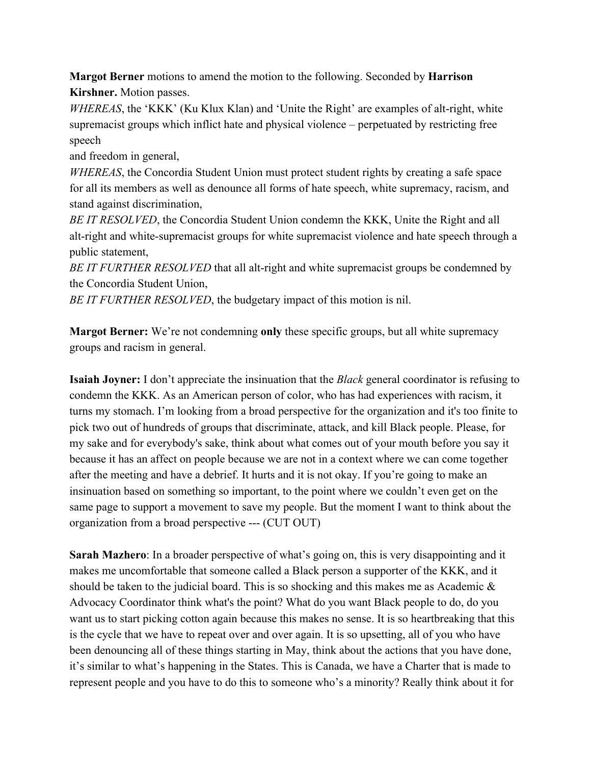**Margot Berner** motions to amend the motion to the following. Seconded by **Harrison Kirshner.** Motion passes.

*WHEREAS*, the 'KKK' (Ku Klux Klan) and 'Unite the Right' are examples of alt-right, white supremacist groups which inflict hate and physical violence – perpetuated by restricting free speech

and freedom in general,

*WHEREAS*, the Concordia Student Union must protect student rights by creating a safe space for all its members as well as denounce all forms of hate speech, white supremacy, racism, and stand against discrimination,

*BE IT RESOLVED*, the Concordia Student Union condemn the KKK, Unite the Right and all alt-right and white-supremacist groups for white supremacist violence and hate speech through a public statement,

*BE IT FURTHER RESOLVED* that all alt-right and white supremacist groups be condemned by the Concordia Student Union,

*BE IT FURTHER RESOLVED*, the budgetary impact of this motion is nil.

**Margot Berner:** We're not condemning **only** these specific groups, but all white supremacy groups and racism in general.

**Isaiah Joyner:** I don't appreciate the insinuation that the *Black* general coordinator is refusing to condemn the KKK. As an American person of color, who has had experiences with racism, it turns my stomach. I'm looking from a broad perspective for the organization and it's too finite to pick two out of hundreds of groups that discriminate, attack, and kill Black people. Please, for my sake and for everybody's sake, think about what comes out of your mouth before you say it because it has an affect on people because we are not in a context where we can come together after the meeting and have a debrief. It hurts and it is not okay. If you're going to make an insinuation based on something so important, to the point where we couldn't even get on the same page to support a movement to save my people. But the moment I want to think about the organization from a broad perspective --- (CUT OUT)

**Sarah Mazhero**: In a broader perspective of what's going on, this is very disappointing and it makes me uncomfortable that someone called a Black person a supporter of the KKK, and it should be taken to the judicial board. This is so shocking and this makes me as Academic & Advocacy Coordinator think what's the point? What do you want Black people to do, do you want us to start picking cotton again because this makes no sense. It is so heartbreaking that this is the cycle that we have to repeat over and over again. It is so upsetting, all of you who have been denouncing all of these things starting in May, think about the actions that you have done, it's similar to what's happening in the States. This is Canada, we have a Charter that is made to represent people and you have to do this to someone who's a minority? Really think about it for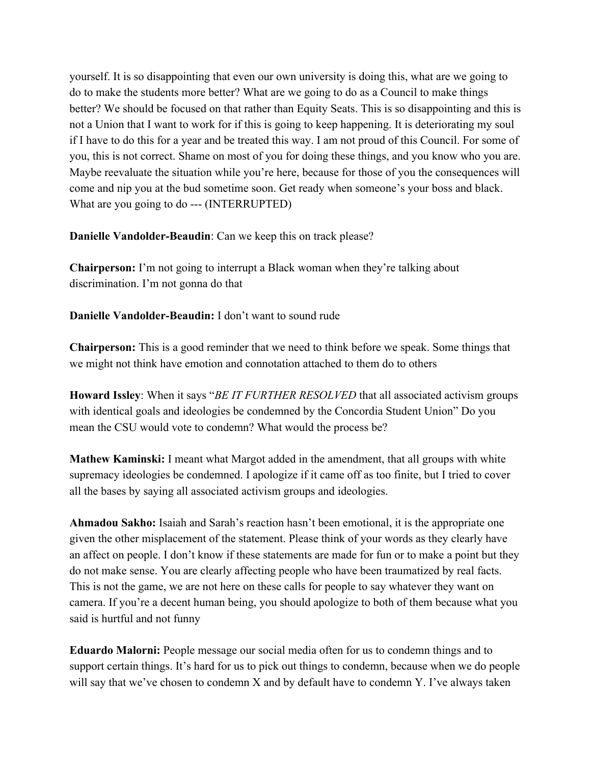yourself. It is so disappointing that even our own university is doing this, what are we going to do to make the students more better? What are we going to do as a Council to make things better? We should be focused on that rather than Equity Seats. This is so disappointing and this is not a Union that I want to work for if this is going to keep happening. It is deteriorating my soul if I have to do this for a year and be treated this way. I am not proud of this Council. For some of you, this is not correct. Shame on most of you for doing these things, and you know who you are. Maybe reevaluate the situation while you're here, because for those of you the consequences will come and nip you at the bud sometime soon. Get ready when someone's your boss and black. What are you going to do --- (INTERRUPTED)

**Danielle Vandolder-Beaudin**: Can we keep this on track please?

**Chairperson:** I'm not going to interrupt a Black woman when they're talking about discrimination. I'm not gonna do that

**Danielle Vandolder-Beaudin:** I don't want to sound rude

**Chairperson:** This is a good reminder that we need to think before we speak. Some things that we might not think have emotion and connotation attached to them do to others

**Howard Issley**: When it says "*BE IT FURTHER RESOLVED* that all associated activism groups with identical goals and ideologies be condemned by the Concordia Student Union" Do you mean the CSU would vote to condemn? What would the process be?

**Mathew Kaminski:** I meant what Margot added in the amendment, that all groups with white supremacy ideologies be condemned. I apologize if it came off as too finite, but I tried to cover all the bases by saying all associated activism groups and ideologies.

**Ahmadou Sakho:** Isaiah and Sarah's reaction hasn't been emotional, it is the appropriate one given the other misplacement of the statement. Please think of your words as they clearly have an affect on people. I don't know if these statements are made for fun or to make a point but they do not make sense. You are clearly affecting people who have been traumatized by real facts. This is not the game, we are not here on these calls for people to say whatever they want on camera. If you're a decent human being, you should apologize to both of them because what you said is hurtful and not funny

**Eduardo Malorni:** People message our social media often for us to condemn things and to support certain things. It's hard for us to pick out things to condemn, because when we do people will say that we've chosen to condemn X and by default have to condemn Y. I've always taken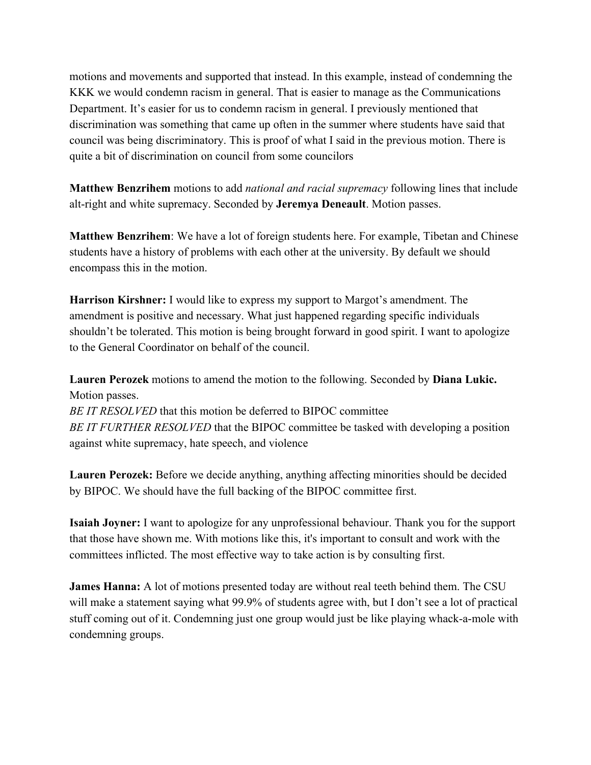motions and movements and supported that instead. In this example, instead of condemning the KKK we would condemn racism in general. That is easier to manage as the Communications Department. It's easier for us to condemn racism in general. I previously mentioned that discrimination was something that came up often in the summer where students have said that council was being discriminatory. This is proof of what I said in the previous motion. There is quite a bit of discrimination on council from some councilors

**Matthew Benzrihem** motions to add *national and racial supremacy* following lines that include alt-right and white supremacy. Seconded by **Jeremya Deneault**. Motion passes.

**Matthew Benzrihem**: We have a lot of foreign students here. For example, Tibetan and Chinese students have a history of problems with each other at the university. By default we should encompass this in the motion.

**Harrison Kirshner:** I would like to express my support to Margot's amendment. The amendment is positive and necessary. What just happened regarding specific individuals shouldn't be tolerated. This motion is being brought forward in good spirit. I want to apologize to the General Coordinator on behalf of the council.

**Lauren Perozek** motions to amend the motion to the following. Seconded by **Diana Lukic.** Motion passes. *BE IT RESOLVED* that this motion be deferred to BIPOC committee *BE IT FURTHER RESOLVED* that the BIPOC committee be tasked with developing a position

against white supremacy, hate speech, and violence

**Lauren Perozek:** Before we decide anything, anything affecting minorities should be decided by BIPOC. We should have the full backing of the BIPOC committee first.

**Isaiah Joyner:** I want to apologize for any unprofessional behaviour. Thank you for the support that those have shown me. With motions like this, it's important to consult and work with the committees inflicted. The most effective way to take action is by consulting first.

**James Hanna:** A lot of motions presented today are without real teeth behind them. The CSU will make a statement saying what 99.9% of students agree with, but I don't see a lot of practical stuff coming out of it. Condemning just one group would just be like playing whack-a-mole with condemning groups.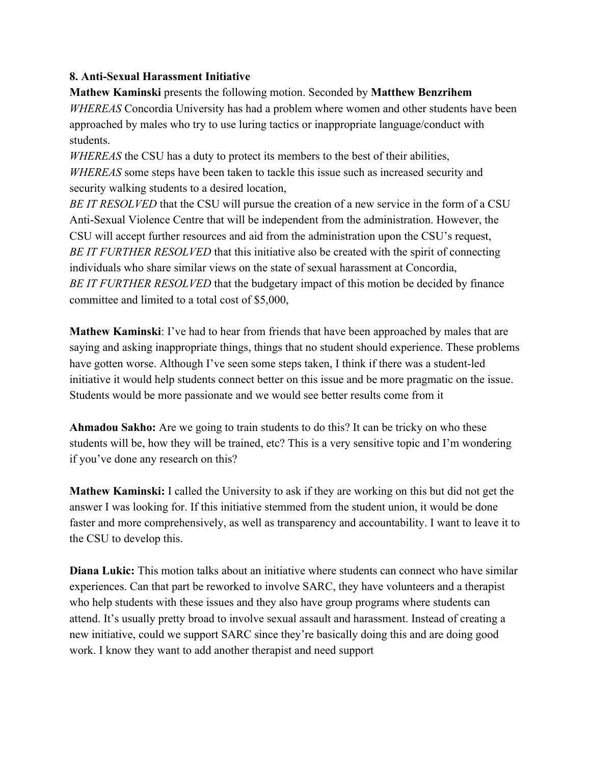### **8. Anti-Sexual Harassment Initiative**

**Mathew Kaminski** presents the following motion. Seconded by **Matthew Benzrihem** *WHEREAS* Concordia University has had a problem where women and other students have been approached by males who try to use luring tactics or inappropriate language/conduct with students.

*WHEREAS* the CSU has a duty to protect its members to the best of their abilities, *WHEREAS* some steps have been taken to tackle this issue such as increased security and security walking students to a desired location,

*BE IT RESOLVED* that the CSU will pursue the creation of a new service in the form of a CSU Anti-Sexual Violence Centre that will be independent from the administration. However, the CSU will accept further resources and aid from the administration upon the CSU's request, *BE IT FURTHER RESOLVED* that this initiative also be created with the spirit of connecting individuals who share similar views on the state of sexual harassment at Concordia, *BE IT FURTHER RESOLVED* that the budgetary impact of this motion be decided by finance committee and limited to a total cost of \$5,000,

**Mathew Kaminski**: I've had to hear from friends that have been approached by males that are saying and asking inappropriate things, things that no student should experience. These problems have gotten worse. Although I've seen some steps taken, I think if there was a student-led initiative it would help students connect better on this issue and be more pragmatic on the issue. Students would be more passionate and we would see better results come from it

**Ahmadou Sakho:** Are we going to train students to do this? It can be tricky on who these students will be, how they will be trained, etc? This is a very sensitive topic and I'm wondering if you've done any research on this?

**Mathew Kaminski:** I called the University to ask if they are working on this but did not get the answer I was looking for. If this initiative stemmed from the student union, it would be done faster and more comprehensively, as well as transparency and accountability. I want to leave it to the CSU to develop this.

**Diana Lukic:** This motion talks about an initiative where students can connect who have similar experiences. Can that part be reworked to involve SARC, they have volunteers and a therapist who help students with these issues and they also have group programs where students can attend. It's usually pretty broad to involve sexual assault and harassment. Instead of creating a new initiative, could we support SARC since they're basically doing this and are doing good work. I know they want to add another therapist and need support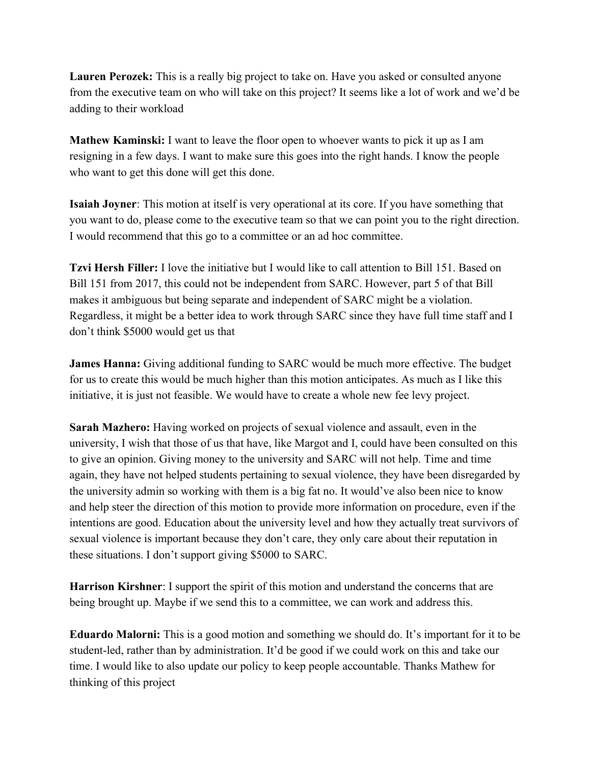**Lauren Perozek:** This is a really big project to take on. Have you asked or consulted anyone from the executive team on who will take on this project? It seems like a lot of work and we'd be adding to their workload

**Mathew Kaminski:** I want to leave the floor open to whoever wants to pick it up as I am resigning in a few days. I want to make sure this goes into the right hands. I know the people who want to get this done will get this done.

**Isaiah Joyner**: This motion at itself is very operational at its core. If you have something that you want to do, please come to the executive team so that we can point you to the right direction. I would recommend that this go to a committee or an ad hoc committee.

**Tzvi Hersh Filler:** I love the initiative but I would like to call attention to Bill 151. Based on Bill 151 from 2017, this could not be independent from SARC. However, part 5 of that Bill makes it ambiguous but being separate and independent of SARC might be a violation. Regardless, it might be a better idea to work through SARC since they have full time staff and I don't think \$5000 would get us that

**James Hanna:** Giving additional funding to SARC would be much more effective. The budget for us to create this would be much higher than this motion anticipates. As much as I like this initiative, it is just not feasible. We would have to create a whole new fee levy project.

**Sarah Mazhero:** Having worked on projects of sexual violence and assault, even in the university, I wish that those of us that have, like Margot and I, could have been consulted on this to give an opinion. Giving money to the university and SARC will not help. Time and time again, they have not helped students pertaining to sexual violence, they have been disregarded by the university admin so working with them is a big fat no. It would've also been nice to know and help steer the direction of this motion to provide more information on procedure, even if the intentions are good. Education about the university level and how they actually treat survivors of sexual violence is important because they don't care, they only care about their reputation in these situations. I don't support giving \$5000 to SARC.

**Harrison Kirshner**: I support the spirit of this motion and understand the concerns that are being brought up. Maybe if we send this to a committee, we can work and address this.

**Eduardo Malorni:** This is a good motion and something we should do. It's important for it to be student-led, rather than by administration. It'd be good if we could work on this and take our time. I would like to also update our policy to keep people accountable. Thanks Mathew for thinking of this project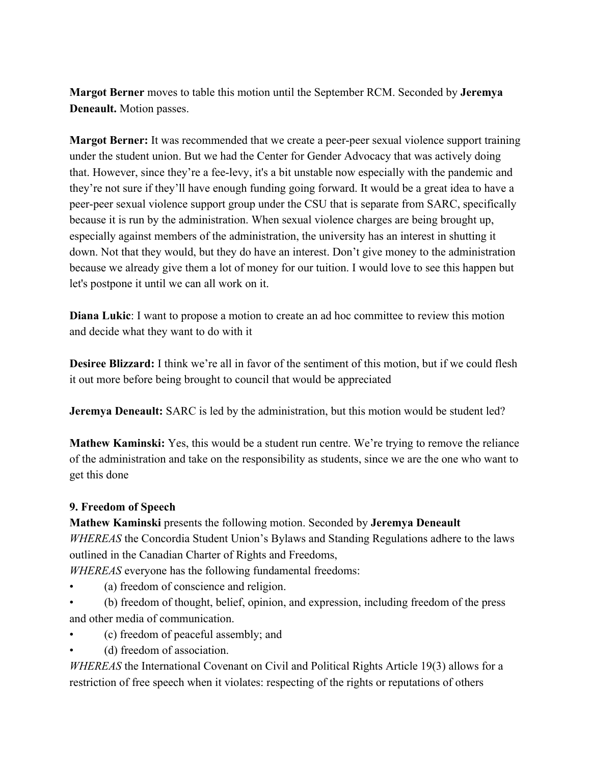**Margot Berner** moves to table this motion until the September RCM. Seconded by **Jeremya Deneault.** Motion passes.

**Margot Berner:** It was recommended that we create a peer-peer sexual violence support training under the student union. But we had the Center for Gender Advocacy that was actively doing that. However, since they're a fee-levy, it's a bit unstable now especially with the pandemic and they're not sure if they'll have enough funding going forward. It would be a great idea to have a peer-peer sexual violence support group under the CSU that is separate from SARC, specifically because it is run by the administration. When sexual violence charges are being brought up, especially against members of the administration, the university has an interest in shutting it down. Not that they would, but they do have an interest. Don't give money to the administration because we already give them a lot of money for our tuition. I would love to see this happen but let's postpone it until we can all work on it.

**Diana Lukic**: I want to propose a motion to create an ad hoc committee to review this motion and decide what they want to do with it

**Desiree Blizzard:** I think we're all in favor of the sentiment of this motion, but if we could flesh it out more before being brought to council that would be appreciated

**Jeremya Deneault:** SARC is led by the administration, but this motion would be student led?

**Mathew Kaminski:** Yes, this would be a student run centre. We're trying to remove the reliance of the administration and take on the responsibility as students, since we are the one who want to get this done

#### **9. Freedom of Speech**

**Mathew Kaminski** presents the following motion. Seconded by **Jeremya Deneault** *WHEREAS* the Concordia Student Union's Bylaws and Standing Regulations adhere to the laws outlined in the Canadian Charter of Rights and Freedoms,

*WHEREAS* everyone has the following fundamental freedoms:

- (a) freedom of conscience and religion.
- (b) freedom of thought, belief, opinion, and expression, including freedom of the press and other media of communication.
- (c) freedom of peaceful assembly; and
- (d) freedom of association.

*WHEREAS* the International Covenant on Civil and Political Rights Article 19(3) allows for a restriction of free speech when it violates: respecting of the rights or reputations of others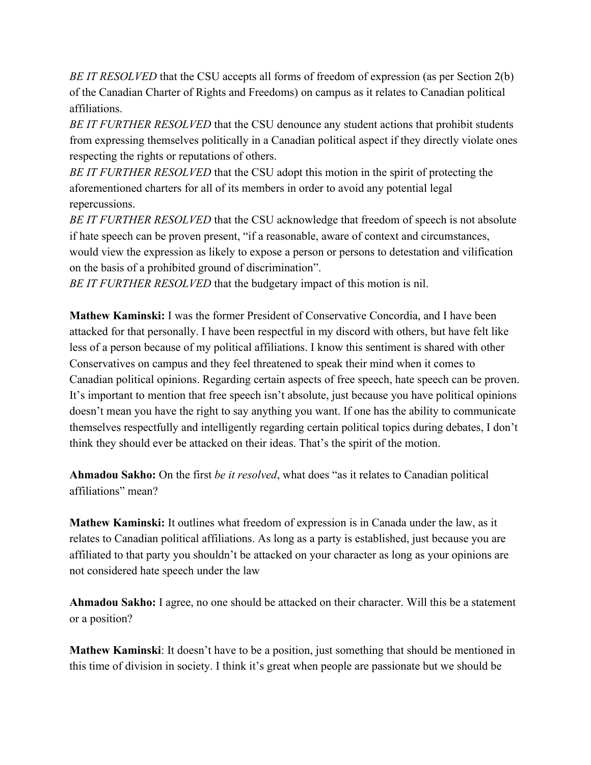*BE IT RESOLVED* that the CSU accepts all forms of freedom of expression (as per Section 2(b) of the Canadian Charter of Rights and Freedoms) on campus as it relates to Canadian political affiliations.

*BE IT FURTHER RESOLVED* that the CSU denounce any student actions that prohibit students from expressing themselves politically in a Canadian political aspect if they directly violate ones respecting the rights or reputations of others.

*BE IT FURTHER RESOLVED* that the CSU adopt this motion in the spirit of protecting the aforementioned charters for all of its members in order to avoid any potential legal repercussions.

*BE IT FURTHER RESOLVED* that the CSU acknowledge that freedom of speech is not absolute if hate speech can be proven present, "if a reasonable, aware of context and circumstances, would view the expression as likely to expose a person or persons to detestation and vilification on the basis of a prohibited ground of discrimination".

*BE IT FURTHER RESOLVED* that the budgetary impact of this motion is nil.

**Mathew Kaminski:** I was the former President of Conservative Concordia, and I have been attacked for that personally. I have been respectful in my discord with others, but have felt like less of a person because of my political affiliations. I know this sentiment is shared with other Conservatives on campus and they feel threatened to speak their mind when it comes to Canadian political opinions. Regarding certain aspects of free speech, hate speech can be proven. It's important to mention that free speech isn't absolute, just because you have political opinions doesn't mean you have the right to say anything you want. If one has the ability to communicate themselves respectfully and intelligently regarding certain political topics during debates, I don't think they should ever be attacked on their ideas. That's the spirit of the motion.

**Ahmadou Sakho:** On the first *be it resolved*, what does "as it relates to Canadian political affiliations" mean?

**Mathew Kaminski:** It outlines what freedom of expression is in Canada under the law, as it relates to Canadian political affiliations. As long as a party is established, just because you are affiliated to that party you shouldn't be attacked on your character as long as your opinions are not considered hate speech under the law

**Ahmadou Sakho:** I agree, no one should be attacked on their character. Will this be a statement or a position?

**Mathew Kaminski**: It doesn't have to be a position, just something that should be mentioned in this time of division in society. I think it's great when people are passionate but we should be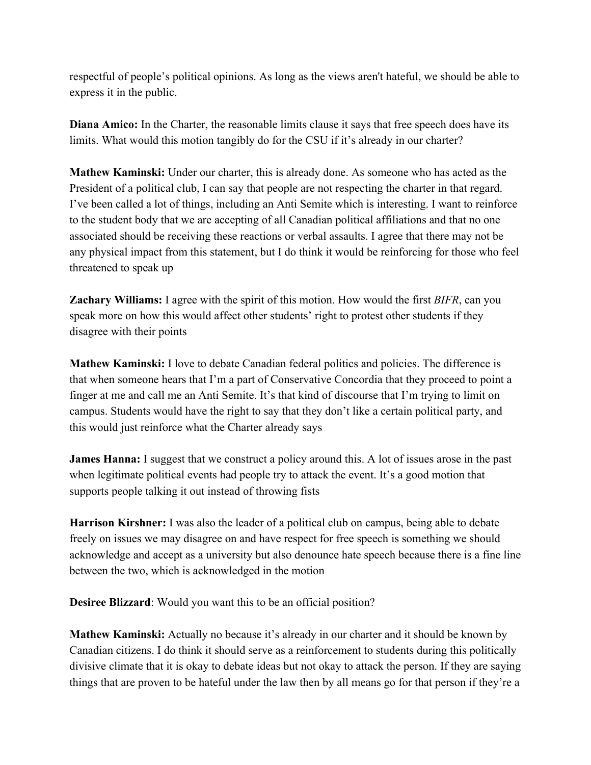respectful of people's political opinions. As long as the views aren't hateful, we should be able to express it in the public.

**Diana Amico:** In the Charter, the reasonable limits clause it says that free speech does have its limits. What would this motion tangibly do for the CSU if it's already in our charter?

**Mathew Kaminski:** Under our charter, this is already done. As someone who has acted as the President of a political club, I can say that people are not respecting the charter in that regard. I've been called a lot of things, including an Anti Semite which is interesting. I want to reinforce to the student body that we are accepting of all Canadian political affiliations and that no one associated should be receiving these reactions or verbal assaults. I agree that there may not be any physical impact from this statement, but I do think it would be reinforcing for those who feel threatened to speak up

**Zachary Williams:** I agree with the spirit of this motion. How would the first *BIFR*, can you speak more on how this would affect other students' right to protest other students if they disagree with their points

**Mathew Kaminski:** I love to debate Canadian federal politics and policies. The difference is that when someone hears that I'm a part of Conservative Concordia that they proceed to point a finger at me and call me an Anti Semite. It's that kind of discourse that I'm trying to limit on campus. Students would have the right to say that they don't like a certain political party, and this would just reinforce what the Charter already says

**James Hanna:** I suggest that we construct a policy around this. A lot of issues arose in the past when legitimate political events had people try to attack the event. It's a good motion that supports people talking it out instead of throwing fists

**Harrison Kirshner:** I was also the leader of a political club on campus, being able to debate freely on issues we may disagree on and have respect for free speech is something we should acknowledge and accept as a university but also denounce hate speech because there is a fine line between the two, which is acknowledged in the motion

**Desiree Blizzard**: Would you want this to be an official position?

**Mathew Kaminski:** Actually no because it's already in our charter and it should be known by Canadian citizens. I do think it should serve as a reinforcement to students during this politically divisive climate that it is okay to debate ideas but not okay to attack the person. If they are saying things that are proven to be hateful under the law then by all means go for that person if they're a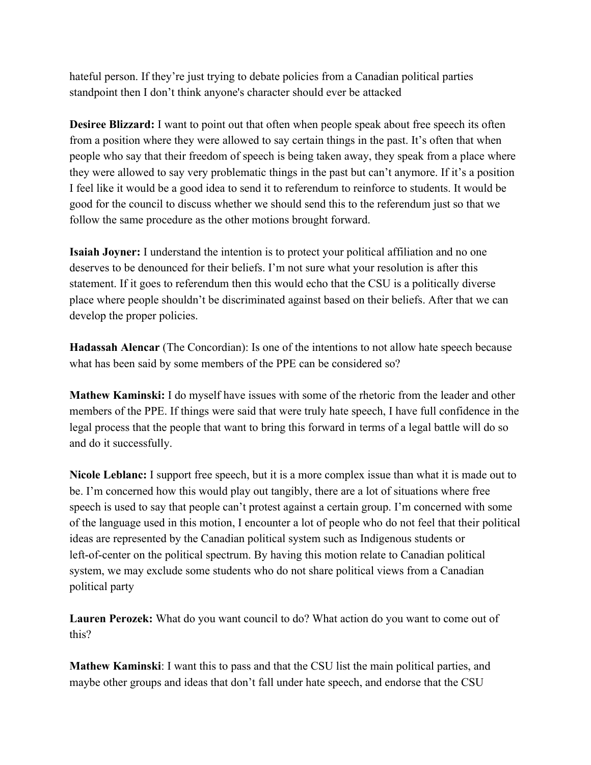hateful person. If they're just trying to debate policies from a Canadian political parties standpoint then I don't think anyone's character should ever be attacked

**Desiree Blizzard:** I want to point out that often when people speak about free speech its often from a position where they were allowed to say certain things in the past. It's often that when people who say that their freedom of speech is being taken away, they speak from a place where they were allowed to say very problematic things in the past but can't anymore. If it's a position I feel like it would be a good idea to send it to referendum to reinforce to students. It would be good for the council to discuss whether we should send this to the referendum just so that we follow the same procedure as the other motions brought forward.

**Isaiah Joyner:** I understand the intention is to protect your political affiliation and no one deserves to be denounced for their beliefs. I'm not sure what your resolution is after this statement. If it goes to referendum then this would echo that the CSU is a politically diverse place where people shouldn't be discriminated against based on their beliefs. After that we can develop the proper policies.

**Hadassah Alencar** (The Concordian): Is one of the intentions to not allow hate speech because what has been said by some members of the PPE can be considered so?

**Mathew Kaminski:** I do myself have issues with some of the rhetoric from the leader and other members of the PPE. If things were said that were truly hate speech, I have full confidence in the legal process that the people that want to bring this forward in terms of a legal battle will do so and do it successfully.

**Nicole Leblanc:** I support free speech, but it is a more complex issue than what it is made out to be. I'm concerned how this would play out tangibly, there are a lot of situations where free speech is used to say that people can't protest against a certain group. I'm concerned with some of the language used in this motion, I encounter a lot of people who do not feel that their political ideas are represented by the Canadian political system such as Indigenous students or left-of-center on the political spectrum. By having this motion relate to Canadian political system, we may exclude some students who do not share political views from a Canadian political party

**Lauren Perozek:** What do you want council to do? What action do you want to come out of this?

**Mathew Kaminski**: I want this to pass and that the CSU list the main political parties, and maybe other groups and ideas that don't fall under hate speech, and endorse that the CSU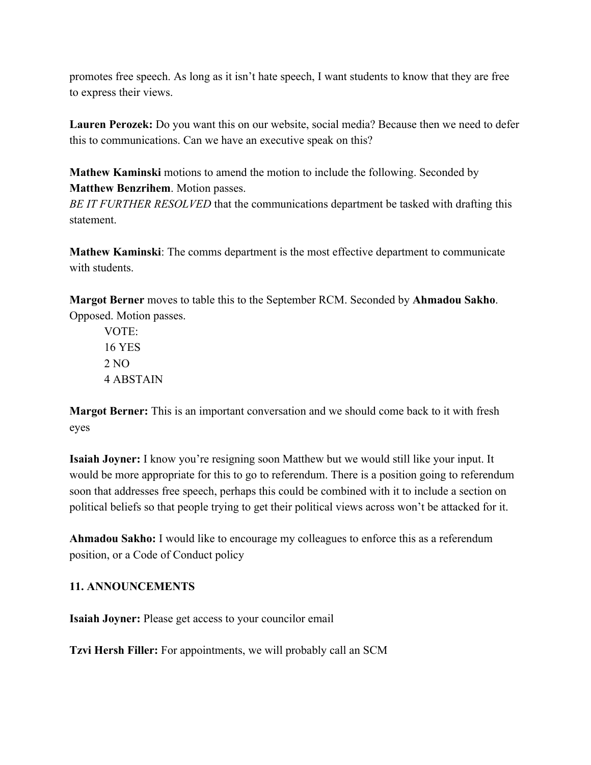promotes free speech. As long as it isn't hate speech, I want students to know that they are free to express their views.

**Lauren Perozek:** Do you want this on our website, social media? Because then we need to defer this to communications. Can we have an executive speak on this?

**Mathew Kaminski** motions to amend the motion to include the following. Seconded by **Matthew Benzrihem**. Motion passes.

*BE IT FURTHER RESOLVED* that the communications department be tasked with drafting this statement.

**Mathew Kaminski**: The comms department is the most effective department to communicate with students

**Margot Berner** moves to table this to the September RCM. Seconded by **Ahmadou Sakho**. Opposed. Motion passes.

VOTE: 16 YES 2 NO 4 ABSTAIN

**Margot Berner:** This is an important conversation and we should come back to it with fresh eyes

**Isaiah Joyner:** I know you're resigning soon Matthew but we would still like your input. It would be more appropriate for this to go to referendum. There is a position going to referendum soon that addresses free speech, perhaps this could be combined with it to include a section on political beliefs so that people trying to get their political views across won't be attacked for it.

**Ahmadou Sakho:** I would like to encourage my colleagues to enforce this as a referendum position, or a Code of Conduct policy

## **11. ANNOUNCEMENTS**

**Isaiah Joyner:** Please get access to your councilor email

**Tzvi Hersh Filler:** For appointments, we will probably call an SCM